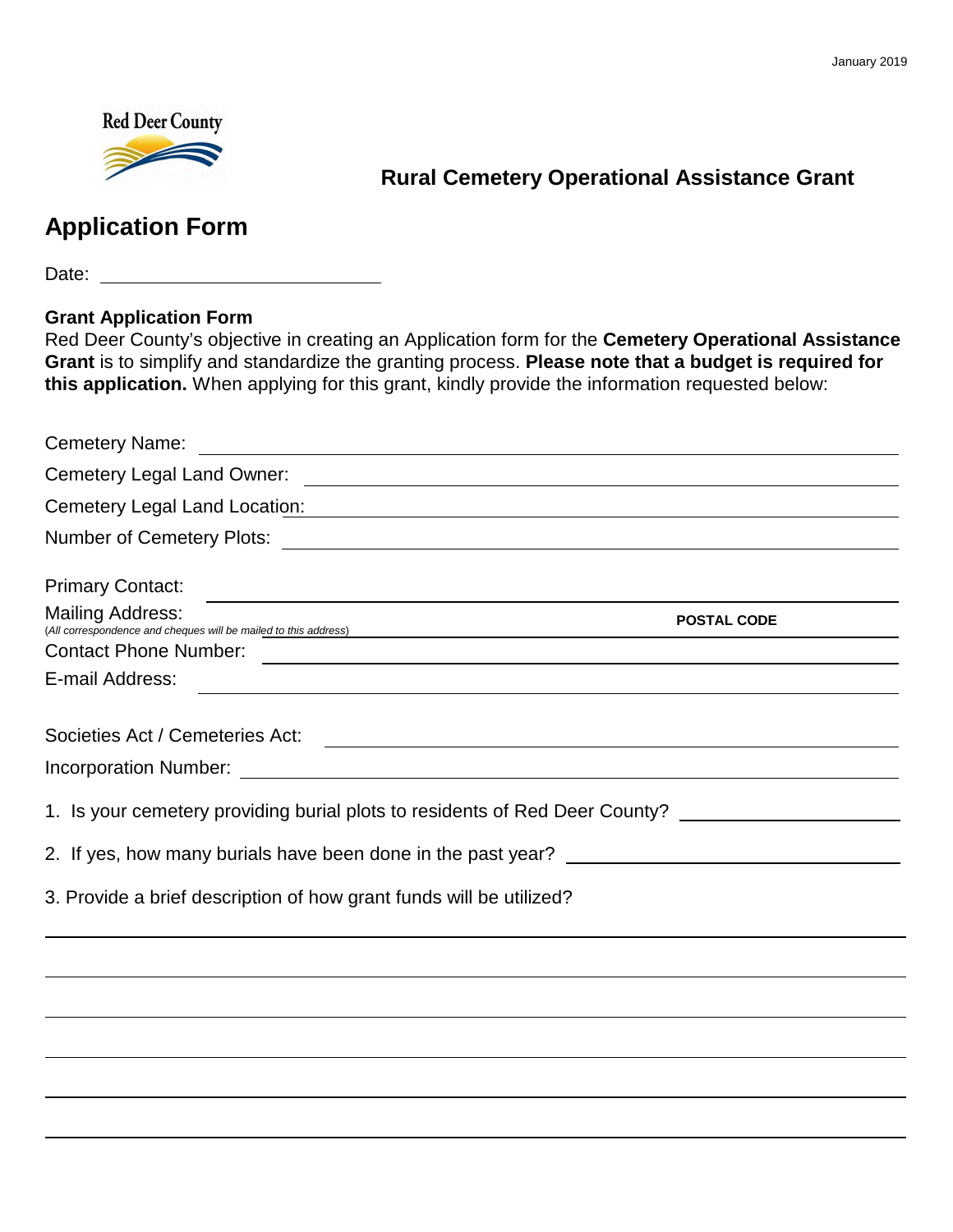

# **Rural Cemetery Operational Assistance Grant**

# **Application Form**

Date: **Date: Date: Date: Date: Date: Date: Date: Date: Date: Date: Date: Date: Date: Date: Date: Date: Date: Date: Date: Date: Date: Date: Date: Date: Date: Date: Date:**

#### **Grant Application Form**

Red Deer County's objective in creating an Application form for the **Cemetery Operational Assistance Grant** is to simplify and standardize the granting process. **Please note that a budget is required for this application.** When applying for this grant, kindly provide the information requested below:

| Cemetery Legal Land Location: We are a series of the contract of the contract of the contract of the contract of the contract of the contract of the contract of the contract of the contract of the contract of the contract |                    |
|-------------------------------------------------------------------------------------------------------------------------------------------------------------------------------------------------------------------------------|--------------------|
|                                                                                                                                                                                                                               |                    |
| <b>Primary Contact:</b><br>and the control of the control of the control of the control of the control of the control of the control of the                                                                                   |                    |
| <b>Mailing Address:</b><br>(All correspondence and cheques will be mailed to this address)                                                                                                                                    | <b>POSTAL CODE</b> |
|                                                                                                                                                                                                                               |                    |
| E-mail Address:                                                                                                                                                                                                               |                    |
|                                                                                                                                                                                                                               |                    |
|                                                                                                                                                                                                                               |                    |
| 1. Is your cemetery providing burial plots to residents of Red Deer County? _______________________                                                                                                                           |                    |
|                                                                                                                                                                                                                               |                    |
| 3. Provide a brief description of how grant funds will be utilized?                                                                                                                                                           |                    |
|                                                                                                                                                                                                                               |                    |
|                                                                                                                                                                                                                               |                    |
|                                                                                                                                                                                                                               |                    |
|                                                                                                                                                                                                                               |                    |
|                                                                                                                                                                                                                               |                    |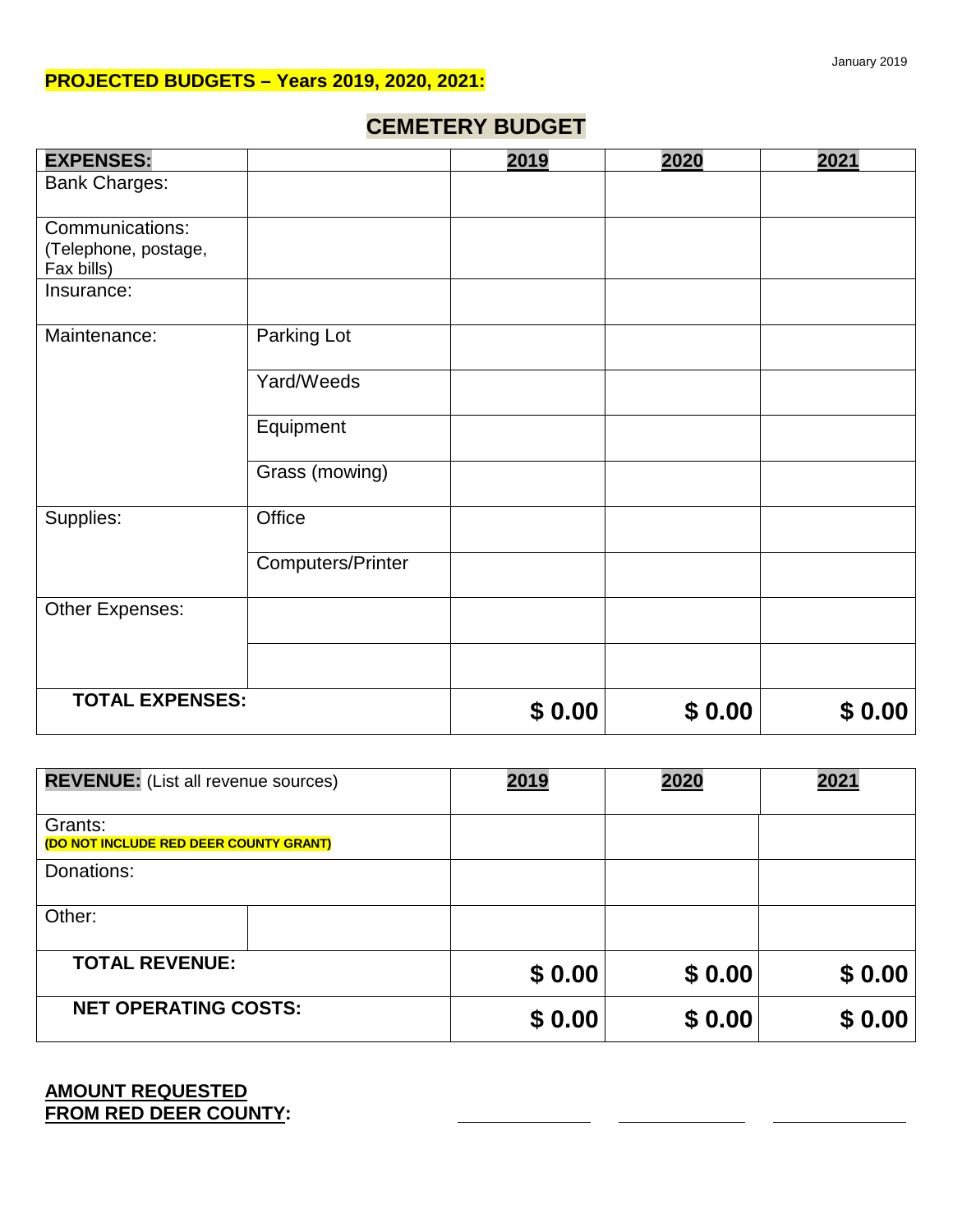### **PROJECTED BUDGETS – Years 2019, 2020, 2021:**

## **CEMETERY BUDGET**

| <b>EXPENSES:</b>                                      |                          | 2019   | 2020   | 2021   |
|-------------------------------------------------------|--------------------------|--------|--------|--------|
| <b>Bank Charges:</b>                                  |                          |        |        |        |
| Communications:<br>(Telephone, postage,<br>Fax bills) |                          |        |        |        |
| Insurance:                                            |                          |        |        |        |
| Maintenance:                                          | Parking Lot              |        |        |        |
|                                                       | Yard/Weeds               |        |        |        |
|                                                       | Equipment                |        |        |        |
|                                                       | Grass (mowing)           |        |        |        |
| Supplies:                                             | Office                   |        |        |        |
|                                                       | <b>Computers/Printer</b> |        |        |        |
| Other Expenses:                                       |                          |        |        |        |
|                                                       |                          |        |        |        |
| <b>TOTAL EXPENSES:</b>                                |                          | \$0.00 | \$0.00 | \$0.00 |

| <b>REVENUE:</b> (List all revenue sources)        | 2019   | 2020   | 2021   |
|---------------------------------------------------|--------|--------|--------|
| Grants:<br>(DO NOT INCLUDE RED DEER COUNTY GRANT) |        |        |        |
| Donations:                                        |        |        |        |
| Other:                                            |        |        |        |
| <b>TOTAL REVENUE:</b>                             | \$0.00 | \$0.00 | \$0.00 |
| <b>NET OPERATING COSTS:</b>                       | \$0.00 | \$0.00 | \$0.00 |

#### **AMOUNT REQUESTED FROM RED DEER COUNTY:**